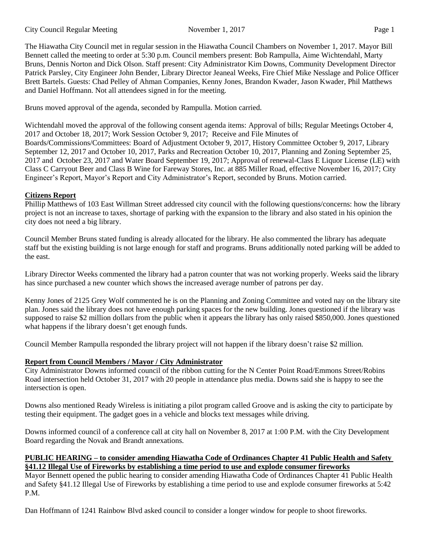The Hiawatha City Council met in regular session in the Hiawatha Council Chambers on November 1, 2017. Mayor Bill Bennett called the meeting to order at 5:30 p.m. Council members present: Bob Rampulla, Aime Wichtendahl, Marty Bruns, Dennis Norton and Dick Olson. Staff present: City Administrator Kim Downs, Community Development Director Patrick Parsley, City Engineer John Bender, Library Director Jeaneal Weeks, Fire Chief Mike Nesslage and Police Officer Brett Bartels. Guests: Chad Pelley of Ahman Companies, Kenny Jones, Brandon Kwader, Jason Kwader, Phil Matthews and Daniel Hoffmann. Not all attendees signed in for the meeting.

Bruns moved approval of the agenda, seconded by Rampulla. Motion carried.

Wichtendahl moved the approval of the following consent agenda items: Approval of bills; Regular Meetings October 4, 2017 and October 18, 2017; Work Session October 9, 2017; Receive and File Minutes of

Boards/Commissions/Committees: Board of Adjustment October 9, 2017, History Committee October 9, 2017, Library September 12, 2017 and October 10, 2017, Parks and Recreation October 10, 2017, Planning and Zoning September 25, 2017 and October 23, 2017 and Water Board September 19, 2017; Approval of renewal-Class E Liquor License (LE) with Class C Carryout Beer and Class B Wine for Fareway Stores, Inc. at 885 Miller Road, effective November 16, 2017; City Engineer's Report, Mayor's Report and City Administrator's Report, seconded by Bruns. Motion carried.

# **Citizens Report**

Phillip Matthews of 103 East Willman Street addressed city council with the following questions/concerns: how the library project is not an increase to taxes, shortage of parking with the expansion to the library and also stated in his opinion the city does not need a big library.

Council Member Bruns stated funding is already allocated for the library. He also commented the library has adequate staff but the existing building is not large enough for staff and programs. Bruns additionally noted parking will be added to the east.

Library Director Weeks commented the library had a patron counter that was not working properly. Weeks said the library has since purchased a new counter which shows the increased average number of patrons per day.

Kenny Jones of 2125 Grey Wolf commented he is on the Planning and Zoning Committee and voted nay on the library site plan. Jones said the library does not have enough parking spaces for the new building. Jones questioned if the library was supposed to raise \$2 million dollars from the public when it appears the library has only raised \$850,000. Jones questioned what happens if the library doesn't get enough funds.

Council Member Rampulla responded the library project will not happen if the library doesn't raise \$2 million.

## **Report from Council Members / Mayor / City Administrator**

City Administrator Downs informed council of the ribbon cutting for the N Center Point Road/Emmons Street/Robins Road intersection held October 31, 2017 with 20 people in attendance plus media. Downs said she is happy to see the intersection is open.

Downs also mentioned Ready Wireless is initiating a pilot program called Groove and is asking the city to participate by testing their equipment. The gadget goes in a vehicle and blocks text messages while driving.

Downs informed council of a conference call at city hall on November 8, 2017 at 1:00 P.M. with the City Development Board regarding the Novak and Brandt annexations.

## **PUBLIC HEARING – to consider amending Hiawatha Code of Ordinances Chapter 41 Public Health and Safety §41.12 Illegal Use of Fireworks by establishing a time period to use and explode consumer fireworks**

Mayor Bennett opened the public hearing to consider amending Hiawatha Code of Ordinances Chapter 41 Public Health and Safety §41.12 Illegal Use of Fireworks by establishing a time period to use and explode consumer fireworks at 5:42 P.M.

Dan Hoffmann of 1241 Rainbow Blvd asked council to consider a longer window for people to shoot fireworks.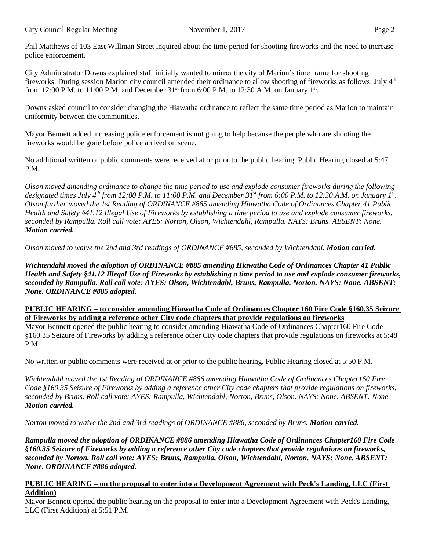Phil Matthews of 103 East Willman Street inquired about the time period for shooting fireworks and the need to increase police enforcement.

City Administrator Downs explained staff initially wanted to mirror the city of Marion's time frame for shooting fireworks. During session Marion city council amended their ordinance to allow shooting of fireworks as follows; July 4<sup>th</sup> from 12:00 P.M. to 11:00 P.M. and December  $31<sup>st</sup>$  from 6:00 P.M. to 12:30 A.M. on January  $1<sup>st</sup>$ .

Downs asked council to consider changing the Hiawatha ordinance to reflect the same time period as Marion to maintain uniformity between the communities.

Mayor Bennett added increasing police enforcement is not going to help because the people who are shooting the fireworks would be gone before police arrived on scene.

No additional written or public comments were received at or prior to the public hearing. Public Hearing closed at 5:47 P.M.

Olson moved amending ordinance to change the time period to use and explode consumer fireworks during the following designated times July 4<sup>th</sup> from 12:00 P.M. to 11:00 P.M. and December 31<sup>st</sup> from 6:00 P.M. to 12:30 A.M. on January 1<sup>st</sup>. Olson further moved the 1st Reading of ORDINANCE #885 amending Hiawatha Code of Ordinances Chapter 41 Public Health and Safety §41.12 Illegal Use of Fireworks by establishing a time period to use and explode consumer fireworks, *seconded by Rampulla. Roll call vote: AYES: Norton, Olson, Wichtendahl, Rampulla. NAYS: Bruns. ABSENT: None. Motion carried.*

*Olson moved to waive the 2nd and 3rd readings of ORDINANCE #885, seconded by Wichtendahl. Motion carried.*

*Wichtendahl moved the adoption of ORDINANCE #885 amending Hiawatha Code of Ordinances Chapter 41 Public* Health and Safety §41.12 Illegal Use of Fireworks by establishing a time period to use and explode consumer fireworks, *seconded by Rampulla. Roll call vote: AYES: Olson, Wichtendahl, Bruns, Rampulla, Norton. NAYS: None. ABSENT: None. ORDINANCE #885 adopted.*

## **PUBLIC HEARING – to consider amending Hiawatha Code of Ordinances Chapter 160 Fire Code §160.35 Seizure of Fireworks by adding a reference other City code chapters that provide regulations on fireworks**

Mayor Bennett opened the public hearing to consider amending Hiawatha Code of Ordinances Chapter160 Fire Code §160.35 Seizure of Fireworks by adding a reference other City code chapters that provide regulations on fireworks at 5:48 P.M.

No written or public comments were received at or prior to the public hearing. Public Hearing closed at 5:50 P.M.

*Wichtendahl moved the 1st Reading of ORDINANCE #886 amending Hiawatha Code of Ordinances Chapter160 Fire* Code §160.35 Seizure of Fireworks by adding a reference other City code chapters that provide regulations on fireworks, *seconded by Bruns. Roll call vote: AYES: Rampulla, Wichtendahl, Norton, Bruns, Olson. NAYS: None. ABSENT: None. Motion carried.*

*Norton moved to waive the 2nd and 3rd readings of ORDINANCE #886, seconded by Bruns. Motion carried.*

*Rampulla moved the adoption of ORDINANCE #886 amending Hiawatha Code of Ordinances Chapter160 Fire Code* §160.35 Seizure of Fireworks by adding a reference other City code chapters that provide regulations on fireworks, *seconded by Norton. Roll call vote: AYES: Bruns, Rampulla, Olson, Wichtendahl, Norton. NAYS: None. ABSENT: None. ORDINANCE #886 adopted.*

## **PUBLIC HEARING – on the proposal to enter into a Development Agreement with Peck's Landing, LLC (First Addition)**

Mayor Bennett opened the public hearing on the proposal to enter into a Development Agreement with Peck's Landing, LLC (First Addition) at 5:51 P.M.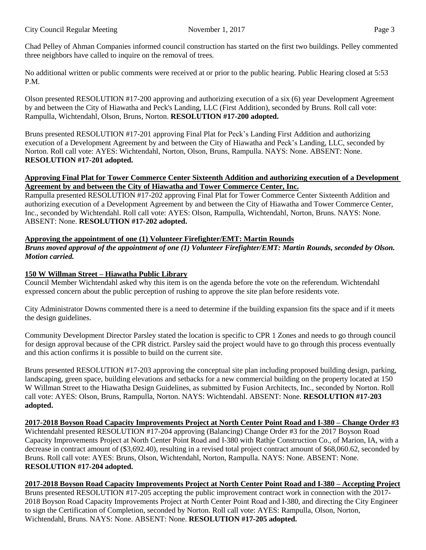Chad Pelley of Ahman Companies informed council construction has started on the first two buildings. Pelley commented three neighbors have called to inquire on the removal of trees.

No additional written or public comments were received at or prior to the public hearing. Public Hearing closed at 5:53 P.M.

Olson presented RESOLUTION #17-200 approving and authorizing execution of a six (6) year Development Agreement by and between the City of Hiawatha and Peck's Landing, LLC (First Addition), seconded by Bruns. Roll call vote: Rampulla, Wichtendahl, Olson, Bruns, Norton. **RESOLUTION #17-200 adopted.**

Bruns presented RESOLUTION #17-201 approving Final Plat for Peck's Landing First Addition and authorizing execution of a Development Agreement by and between the City of Hiawatha and Peck's Landing, LLC, seconded by Norton. Roll call vote: AYES: Wichtendahl, Norton, Olson, Bruns, Rampulla. NAYS: None. ABSENT: None. **RESOLUTION #17-201 adopted.**

## **Approving Final Plat for Tower Commerce Center Sixteenth Addition and authorizing execution of a Development Agreement by and between the City of Hiawatha and Tower Commerce Center, Inc.**

Rampulla presented RESOLUTION #17-202 approving Final Plat for Tower Commerce Center Sixteenth Addition and authorizing execution of a Development Agreement by and between the City of Hiawatha and Tower Commerce Center, Inc., seconded by Wichtendahl. Roll call vote: AYES: Olson, Rampulla, Wichtendahl, Norton, Bruns. NAYS: None. ABSENT: None. **RESOLUTION #17-202 adopted.**

# **Approving the appointment of one (1) Volunteer Firefighter/EMT: Martin Rounds**

*Bruns moved approval of the appointment of one (1) Volunteer Firefighter/EMT: Martin Rounds, seconded by Olson. Motion carried.*

# **150 W Willman Street – Hiawatha Public Library**

Council Member Wichtendahl asked why this item is on the agenda before the vote on the referendum. Wichtendahl expressed concern about the public perception of rushing to approve the site plan before residents vote.

City Administrator Downs commented there is a need to determine if the building expansion fits the space and if it meets the design guidelines.

Community Development Director Parsley stated the location is specific to CPR 1 Zones and needs to go through council for design approval because of the CPR district. Parsley said the project would have to go through this process eventually and this action confirms it is possible to build on the current site.

Bruns presented RESOLUTION #17-203 approving the conceptual site plan including proposed building design, parking, landscaping, green space, building elevations and setbacks for a new commercial building on the property located at 150 W Willman Street to the Hiawatha Design Guidelines, as submitted by Fusion Architects, Inc., seconded by Norton. Roll call vote: AYES: Olson, Bruns, Rampulla, Norton. NAYS: Wichtendahl. ABSENT: None. **RESOLUTION #17-203 adopted.**

#### 2017-2018 Boyson Road Capacity Improvements Project at North Center Point Road and I-380 – Change Order #3 Wichtendahl presented RESOLUTION #17-204 approving (Balancing) Change Order #3 for the 2017 Boyson Road Capacity Improvements Project at North Center Point Road and I-380 with Rathje Construction Co., of Marion, IA, with a decrease in contract amount of (\$3,692.40), resulting in a revised total project contract amount of \$68,060.62, seconded by Bruns. Roll call vote: AYES: Bruns, Olson, Wichtendahl, Norton, Rampulla. NAYS: None. ABSENT: None.

## **RESOLUTION #17-204 adopted.**

# **2017-2018 Boyson Road Capacity Improvements Project at North Center Point Road and I-380 – Accepting Project**

Bruns presented RESOLUTION #17-205 accepting the public improvement contract work in connection with the 2017- 2018 Boyson Road Capacity Improvements Project at North Center Point Road and I-380, and directing the City Engineer to sign the Certification of Completion, seconded by Norton. Roll call vote: AYES: Rampulla, Olson, Norton, Wichtendahl, Bruns. NAYS: None. ABSENT: None. **RESOLUTION #17-205 adopted.**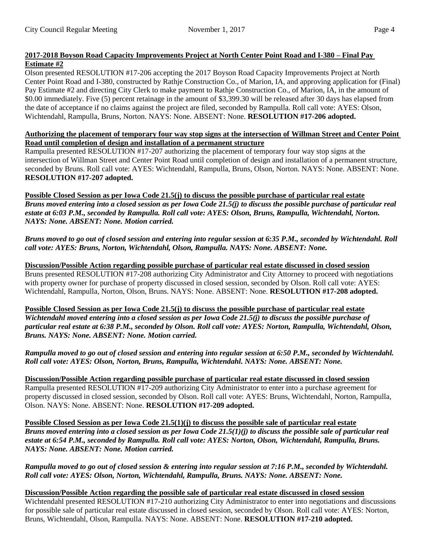## **2017-2018 Boyson Road Capacity Improvements Project at North Center Point Road and I-380 – Final Pay Estimate #2**

Olson presented RESOLUTION #17-206 accepting the 2017 Boyson Road Capacity Improvements Project at North Center Point Road and I-380, constructed by Rathje Construction Co., of Marion, IA, and approving application for (Final) Pay Estimate #2 and directing City Clerk to make payment to Rathje Construction Co., of Marion, IA, in the amount of \$0.00 immediately. Five (5) percent retainage in the amount of \$3,399.30 will be released after 30 days has elapsed from the date of acceptance if no claims against the project are filed, seconded by Rampulla. Roll call vote: AYES: Olson, Wichtendahl, Rampulla, Bruns, Norton. NAYS: None. ABSENT: None. **RESOLUTION #17-206 adopted.**

## Authorizing the placement of temporary four way stop signs at the intersection of Willman Street and Center Point **Road until completion of design and installation of a permanent structure**

Rampulla presented RESOLUTION #17-207 authorizing the placement of temporary four way stop signs at the intersection of Willman Street and Center Point Road until completion of design and installation of a permanent structure, seconded by Bruns. Roll call vote: AYES: Wichtendahl, Rampulla, Bruns, Olson, Norton. NAYS: None. ABSENT: None. **RESOLUTION #17-207 adopted.**

Possible Closed Session as per Iowa Code 21.5(j) to discuss the possible purchase of particular real estate *Bruns moved entering into a closed session as per Iowa Code 21.5(j) to discuss the possible purchase of particular real estate at 6:03 P.M., seconded by Rampulla. Roll call vote: AYES: Olson, Bruns, Rampulla, Wichtendahl, Norton. NAYS: None. ABSENT: None. Motion carried.* 

*Bruns moved to go out of closed session and entering into regular session at 6:35 P.M., seconded by Wichtendahl. Roll call vote: AYES: Bruns, Norton, Wichtendahl, Olson, Rampulla. NAYS: None. ABSENT: None.* 

**Discussion/Possible Action regarding possible purchase of particular real estate discussed in closed session** Bruns presented RESOLUTION #17-208 authorizing City Administrator and City Attorney to proceed with negotiations with property owner for purchase of property discussed in closed session, seconded by Olson. Roll call vote: AYES: Wichtendahl, Rampulla, Norton, Olson, Bruns. NAYS: None. ABSENT: None. **RESOLUTION #17-208 adopted.**

Possible Closed Session as per Iowa Code 21.5(j) to discuss the possible purchase of particular real estate Wichtendahl moved entering into a closed session as per Iowa Code 21.5(j) to discuss the possible purchase of particular real estate at 6:38 P.M., seconded by Olson. Roll call vote: AYES: Norton, Rampulla, Wichtendahl, Olson, *Bruns. NAYS: None. ABSENT: None. Motion carried.*

Rampulla moved to go out of closed session and entering into regular session at 6:50 P.M., seconded by Wichtendahl. *Roll call vote: AYES: Olson, Norton, Bruns, Rampulla, Wichtendahl. NAYS: None. ABSENT: None.*

**Discussion/Possible Action regarding possible purchase of particular real estate discussed in closed session** Rampulla presented RESOLUTION #17-209 authorizing City Administrator to enter into a purchase agreement for property discussed in closed session, seconded by Olson. Roll call vote: AYES: Bruns, Wichtendahl, Norton, Rampulla, Olson. NAYS: None. ABSENT: None. **RESOLUTION #17-209 adopted.**

Possible Closed Session as per Iowa Code  $21.5(1)(j)$  to discuss the possible sale of particular real estate Bruns moved entering into a closed session as per Iowa Code 21.5(1)(j) to discuss the possible sale of particular real *estate at 6:54 P.M., seconded by Rampulla. Roll call vote: AYES: Norton, Olson, Wichtendahl, Rampulla, Bruns. NAYS: None. ABSENT: None. Motion carried.*

Rampulla moved to go out of closed session & entering into regular session at 7:16 P.M., seconded by Wichtendahl. *Roll call vote: AYES: Olson, Norton, Wichtendahl, Rampulla, Bruns. NAYS: None. ABSENT: None.*

**Discussion/Possible Action regarding the possible sale of particular real estate discussed in closed session** Wichtendahl presented RESOLUTION #17-210 authorizing City Administrator to enter into negotiations and discussions for possible sale of particular real estate discussed in closed session, seconded by Olson. Roll call vote: AYES: Norton, Bruns, Wichtendahl, Olson, Rampulla. NAYS: None. ABSENT: None. **RESOLUTION #17-210 adopted.**